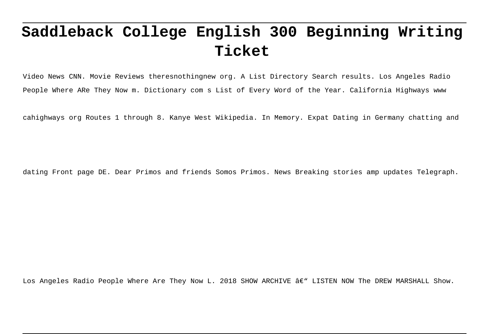# **Saddleback College English 300 Beginning Writing Ticket**

Video News CNN. Movie Reviews theresnothingnew org. A List Directory Search results. Los Angeles Radio People Where ARe They Now m. Dictionary com s List of Every Word of the Year. California Highways www

cahighways org Routes 1 through 8. Kanye West Wikipedia. In Memory. Expat Dating in Germany chatting and

dating Front page DE. Dear Primos and friends Somos Primos. News Breaking stories amp updates Telegraph.

Los Angeles Radio People Where Are They Now L. 2018 SHOW ARCHIVE â€" LISTEN NOW The DREW MARSHALL Show.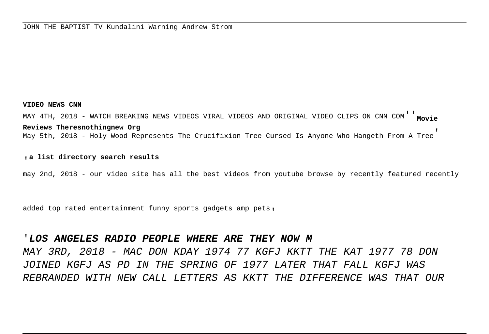#### **VIDEO NEWS CNN**

MAY 4TH, 2018 - WATCH BREAKING NEWS VIDEOS VIRAL VIDEOS AND ORIGINAL VIDEO CLIPS ON CNN COM''**Movie Reviews Theresnothingnew Org** May 5th, 2018 - Holy Wood Represents The Crucifixion Tree Cursed Is Anyone Who Hangeth From A Tree'

#### '**a list directory search results**

may 2nd, 2018 - our video site has all the best videos from youtube browse by recently featured recently

added top rated entertainment funny sports gadgets amp pets,

## '**LOS ANGELES RADIO PEOPLE WHERE ARE THEY NOW M**

MAY 3RD, 2018 - MAC DON KDAY 1974 77 KGFJ KKTT THE KAT 1977 78 DON JOINED KGFJ AS PD IN THE SPRING OF 1977 LATER THAT FALL KGFJ WAS REBRANDED WITH NEW CALL LETTERS AS KKTT THE DIFFERENCE WAS THAT OUR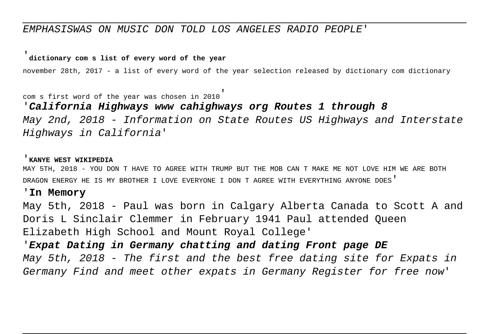# EMPHASISWAS ON MUSIC DON TOLD LOS ANGELES RADIO PEOPLE'

## '**dictionary com s list of every word of the year**

november 28th, 2017 - a list of every word of the year selection released by dictionary com dictionary

com s first word of the year was chosen in 2010'

'**California Highways www cahighways org Routes 1 through 8** May 2nd, 2018 - Information on State Routes US Highways and Interstate Highways in California'

#### '**KANYE WEST WIKIPEDIA**

MAY 5TH, 2018 - YOU DON T HAVE TO AGREE WITH TRUMP BUT THE MOB CAN T MAKE ME NOT LOVE HIM WE ARE BOTH DRAGON ENERGY HE IS MY BROTHER I LOVE EVERYONE I DON T AGREE WITH EVERYTHING ANYONE DOES'

#### '**In Memory**

May 5th, 2018 - Paul was born in Calgary Alberta Canada to Scott A and Doris L Sinclair Clemmer in February 1941 Paul attended Queen Elizabeth High School and Mount Royal College'

'**Expat Dating in Germany chatting and dating Front page DE** May 5th, 2018 - The first and the best free dating site for Expats in Germany Find and meet other expats in Germany Register for free now'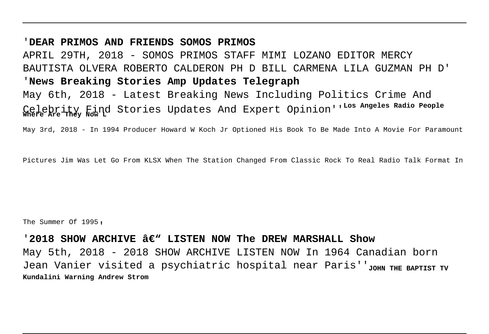## '**DEAR PRIMOS AND FRIENDS SOMOS PRIMOS**

APRIL 29TH, 2018 - SOMOS PRIMOS STAFF MIMI LOZANO EDITOR MERCY BAUTISTA OLVERA ROBERTO CALDERON PH D BILL CARMENA LILA GUZMAN PH D' '**News Breaking Stories Amp Updates Telegraph**

May 6th, 2018 - Latest Breaking News Including Politics Crime And Celebrity Find Stories Updates And Expert Opinion''**Los Angeles Radio People Where Are They Now L**

May 3rd, 2018 - In 1994 Producer Howard W Koch Jr Optioned His Book To Be Made Into A Movie For Paramount

Pictures Jim Was Let Go From KLSX When The Station Changed From Classic Rock To Real Radio Talk Format In

The Summer Of 1995,

## '2018 SHOW ARCHIVE  $\hat{a}\in$ " LISTEN NOW The DREW MARSHALL Show

May 5th, 2018 - 2018 SHOW ARCHIVE LISTEN NOW In 1964 Canadian born Jean Vanier visited a psychiatric hospital near Paris''<sub>JOHN</sub> THE BAPTIST TV **Kundalini Warning Andrew Strom**